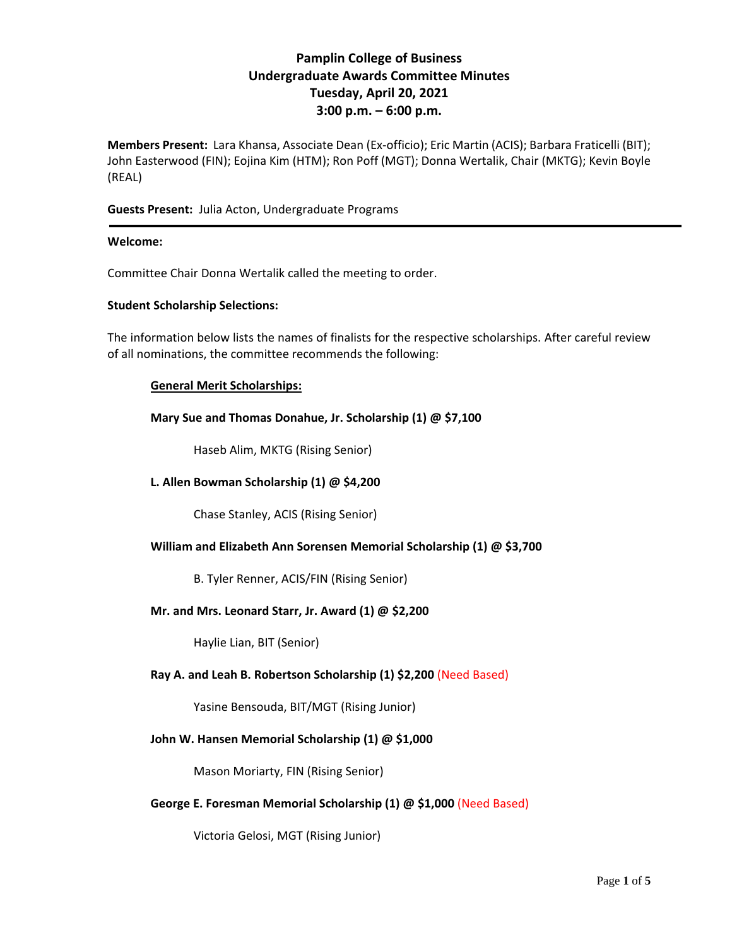# **Pamplin College of Business Undergraduate Awards Committee Minutes Tuesday, April 20, 2021 3:00 p.m. – 6:00 p.m.**

**Members Present:** Lara Khansa, Associate Dean (Ex-officio); Eric Martin (ACIS); Barbara Fraticelli (BIT); John Easterwood (FIN); Eojina Kim (HTM); Ron Poff (MGT); Donna Wertalik, Chair (MKTG); Kevin Boyle (REAL)

## **Guests Present:** Julia Acton, Undergraduate Programs

#### **Welcome:**

Committee Chair Donna Wertalik called the meeting to order.

#### **Student Scholarship Selections:**

The information below lists the names of finalists for the respective scholarships. After careful review of all nominations, the committee recommends the following:

#### **General Merit Scholarships:**

**Mary Sue and Thomas Donahue, Jr. Scholarship (1) @ \$7,100**

Haseb Alim, MKTG (Rising Senior)

## **L. Allen Bowman Scholarship (1) @ \$4,200**

Chase Stanley, ACIS (Rising Senior)

#### **William and Elizabeth Ann Sorensen Memorial Scholarship (1) @ \$3,700**

B. Tyler Renner, ACIS/FIN (Rising Senior)

#### **Mr. and Mrs. Leonard Starr, Jr. Award (1) @ \$2,200**

Haylie Lian, BIT (Senior)

#### **Ray A. and Leah B. Robertson Scholarship (1) \$2,200** (Need Based)

Yasine Bensouda, BIT/MGT (Rising Junior)

#### **John W. Hansen Memorial Scholarship (1) @ \$1,000**

Mason Moriarty, FIN (Rising Senior)

#### **George E. Foresman Memorial Scholarship (1) @ \$1,000** (Need Based)

Victoria Gelosi, MGT (Rising Junior)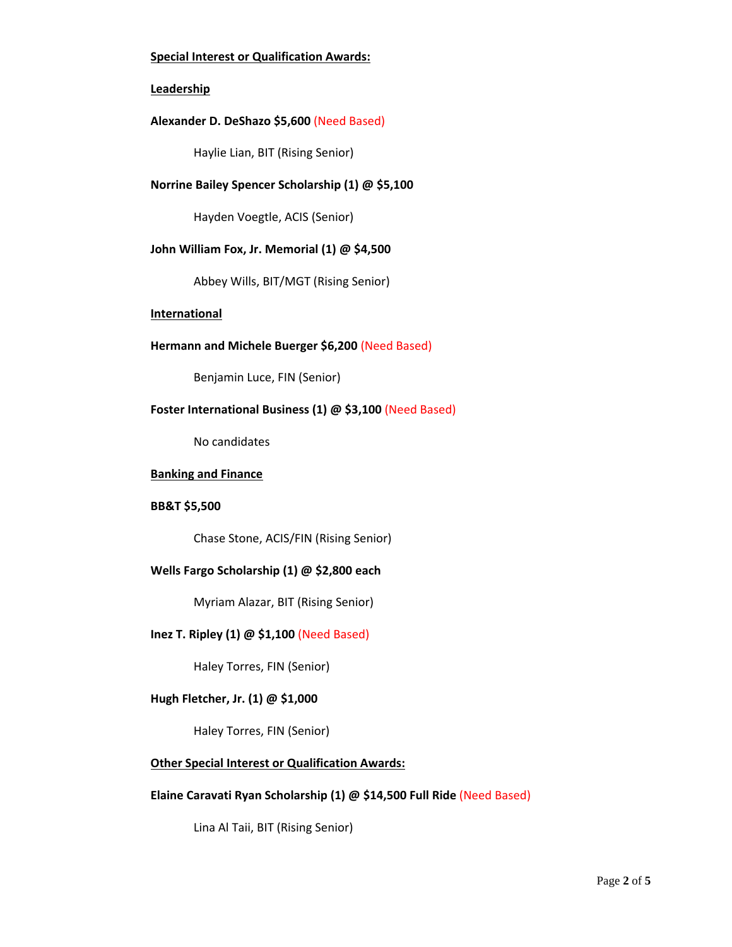## **Special Interest or Qualification Awards:**

#### **Leadership**

#### **Alexander D. DeShazo \$5,600** (Need Based)

Haylie Lian, BIT (Rising Senior)

## **Norrine Bailey Spencer Scholarship (1) @ \$5,100**

Hayden Voegtle, ACIS (Senior)

## **John William Fox, Jr. Memorial (1) @ \$4,500**

Abbey Wills, BIT/MGT (Rising Senior)

#### **International**

## **Hermann and Michele Buerger \$6,200** (Need Based)

Benjamin Luce, FIN (Senior)

## **Foster International Business (1) @ \$3,100** (Need Based)

No candidates

#### **Banking and Finance**

## **BB&T \$5,500**

Chase Stone, ACIS/FIN (Rising Senior)

#### **Wells Fargo Scholarship (1) @ \$2,800 each**

Myriam Alazar, BIT (Rising Senior)

#### **Inez T. Ripley (1) @ \$1,100** (Need Based)

Haley Torres, FIN (Senior)

## **Hugh Fletcher, Jr. (1) @ \$1,000**

Haley Torres, FIN (Senior)

## **Other Special Interest or Qualification Awards:**

#### **Elaine Caravati Ryan Scholarship (1) @ \$14,500 Full Ride** (Need Based)

Lina Al Taii, BIT (Rising Senior)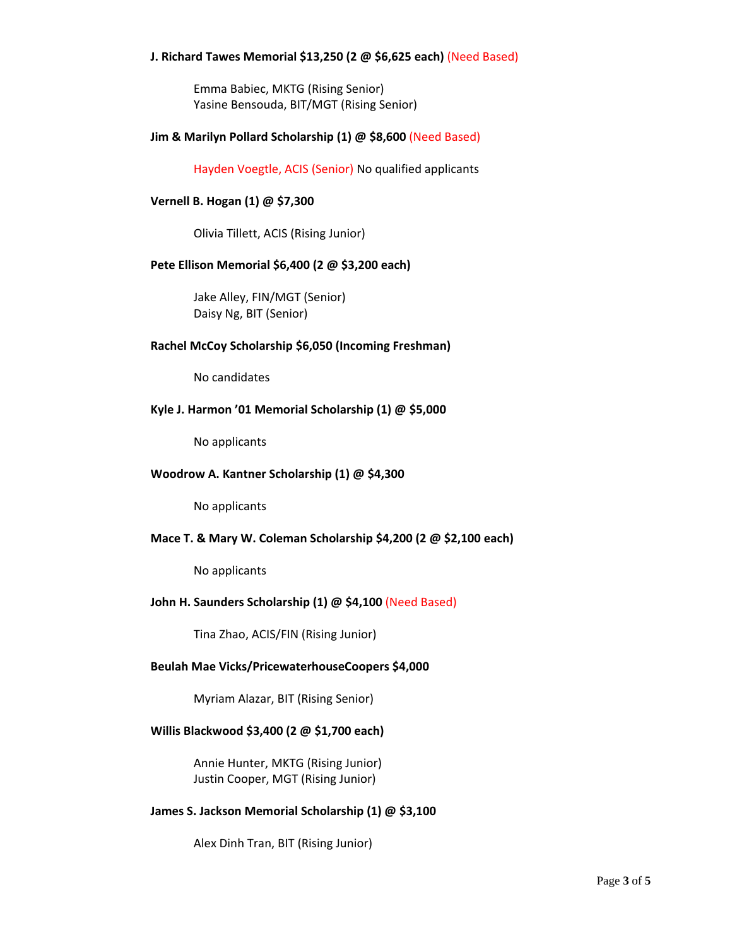### **J. Richard Tawes Memorial \$13,250 (2 @ \$6,625 each)** (Need Based)

Emma Babiec, MKTG (Rising Senior) Yasine Bensouda, BIT/MGT (Rising Senior)

#### **Jim & Marilyn Pollard Scholarship (1) @ \$8,600** (Need Based)

Hayden Voegtle, ACIS (Senior) No qualified applicants

#### **Vernell B. Hogan (1) @ \$7,300**

Olivia Tillett, ACIS (Rising Junior)

## **Pete Ellison Memorial \$6,400 (2 @ \$3,200 each)**

Jake Alley, FIN/MGT (Senior) Daisy Ng, BIT (Senior)

#### **Rachel McCoy Scholarship \$6,050 (Incoming Freshman)**

No candidates

#### **Kyle J. Harmon '01 Memorial Scholarship (1) @ \$5,000**

No applicants

#### **Woodrow A. Kantner Scholarship (1) @ \$4,300**

No applicants

#### **Mace T. & Mary W. Coleman Scholarship \$4,200 (2 @ \$2,100 each)**

No applicants

#### **John H. Saunders Scholarship (1) @ \$4,100** (Need Based)

Tina Zhao, ACIS/FIN (Rising Junior)

#### **Beulah Mae Vicks/PricewaterhouseCoopers \$4,000**

Myriam Alazar, BIT (Rising Senior)

#### **Willis Blackwood \$3,400 (2 @ \$1,700 each)**

Annie Hunter, MKTG (Rising Junior) Justin Cooper, MGT (Rising Junior)

#### **James S. Jackson Memorial Scholarship (1) @ \$3,100**

Alex Dinh Tran, BIT (Rising Junior)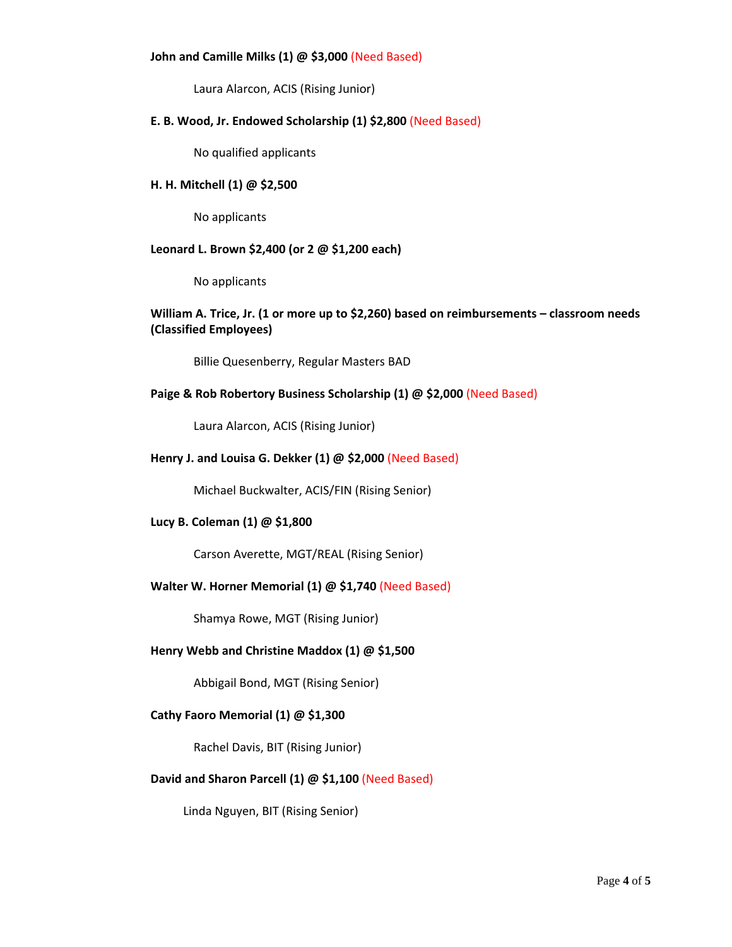#### **John and Camille Milks (1) @ \$3,000** (Need Based)

Laura Alarcon, ACIS (Rising Junior)

## **E. B. Wood, Jr. Endowed Scholarship (1) \$2,800** (Need Based)

No qualified applicants

## **H. H. Mitchell (1) @ \$2,500**

No applicants

#### **Leonard L. Brown \$2,400 (or 2 @ \$1,200 each)**

No applicants

## **William A. Trice, Jr. (1 or more up to \$2,260) based on reimbursements – classroom needs (Classified Employees)**

Billie Quesenberry, Regular Masters BAD

## **Paige & Rob Robertory Business Scholarship (1) @ \$2,000** (Need Based)

Laura Alarcon, ACIS (Rising Junior)

## **Henry J. and Louisa G. Dekker (1) @ \$2,000** (Need Based)

Michael Buckwalter, ACIS/FIN (Rising Senior)

#### **Lucy B. Coleman (1) @ \$1,800**

Carson Averette, MGT/REAL (Rising Senior)

#### **Walter W. Horner Memorial (1) @ \$1,740** (Need Based)

Shamya Rowe, MGT (Rising Junior)

#### **Henry Webb and Christine Maddox (1) @ \$1,500**

Abbigail Bond, MGT (Rising Senior)

#### **Cathy Faoro Memorial (1) @ \$1,300**

Rachel Davis, BIT (Rising Junior)

#### **David and Sharon Parcell (1) @ \$1,100** (Need Based)

Linda Nguyen, BIT (Rising Senior)